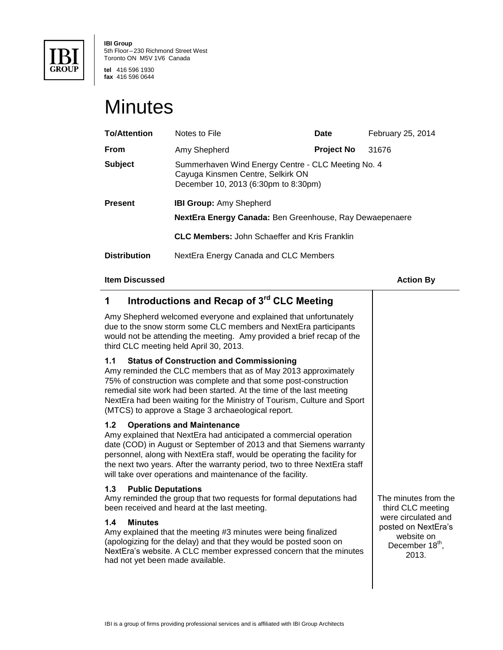

**IBI Group** 5th Floor– 230 Richmond Street West Toronto ON M5V 1V6 Canada

**tel** 416 596 1930 **fax** 416 596 0644

## **Minutes**

| <b>To/Attention</b> | Notes to File                                                                                                                   | <b>Date</b>       | February 25, 2014 |
|---------------------|---------------------------------------------------------------------------------------------------------------------------------|-------------------|-------------------|
| <b>From</b>         | Amy Shepherd                                                                                                                    | <b>Project No</b> | 31676             |
| <b>Subject</b>      | Summerhaven Wind Energy Centre - CLC Meeting No. 4<br>Cayuga Kinsmen Centre, Selkirk ON<br>December 10, 2013 (6:30pm to 8:30pm) |                   |                   |
| <b>Present</b>      | <b>IBI Group:</b> Amy Shepherd<br>NextEra Energy Canada: Ben Greenhouse, Ray Dewaepenaere                                       |                   |                   |
|                     | <b>CLC Members:</b> John Schaeffer and Kris Franklin                                                                            |                   |                   |
| <b>Distribution</b> | NextEra Energy Canada and CLC Members                                                                                           |                   |                   |

#### **Item Discussed Action By**

#### **1 Introductions and Recap of 3rd CLC Meeting**  Amy Shepherd welcomed everyone and explained that unfortunately due to the snow storm some CLC members and NextEra participants would not be attending the meeting. Amy provided a brief recap of the third CLC meeting held April 30, 2013. **1.1 Status of Construction and Commissioning** Amy reminded the CLC members that as of May 2013 approximately 75% of construction was complete and that some post-construction remedial site work had been started. At the time of the last meeting NextEra had been waiting for the Ministry of Tourism, Culture and Sport (MTCS) to approve a Stage 3 archaeological report. **1.2 Operations and Maintenance** Amy explained that NextEra had anticipated a commercial operation date (COD) in August or September of 2013 and that Siemens warranty personnel, along with NextEra staff, would be operating the facility for the next two years. After the warranty period, two to three NextEra staff will take over operations and maintenance of the facility. **1.3 Public Deputations** Amy reminded the group that two requests for formal deputations had been received and heard at the last meeting. **1.4 Minutes** Amy explained that the meeting #3 minutes were being finalized (apologizing for the delay) and that they would be posted soon on NextEra's website. A CLC member expressed concern that the minutes had not yet been made available. The minutes from the third CLC meeting were circulated and posted on NextEra's website on December 18<sup>th</sup>, 2013.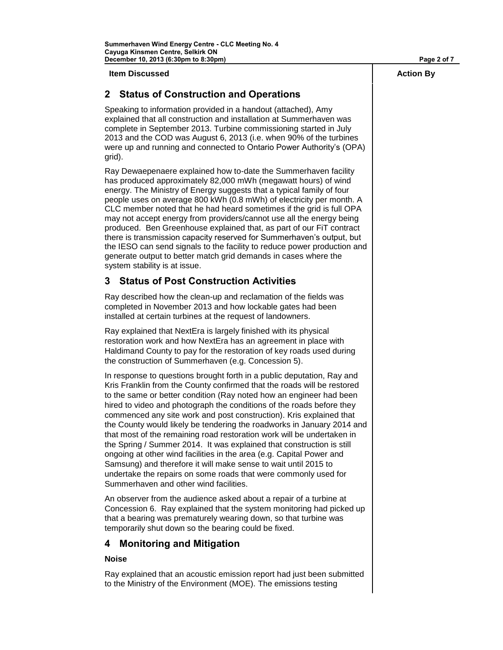**Item Discussed Action By**

### **2 Status of Construction and Operations**

Speaking to information provided in a handout (attached), Amy explained that all construction and installation at Summerhaven was complete in September 2013. Turbine commissioning started in July 2013 and the COD was August 6, 2013 (i.e. when 90% of the turbines were up and running and connected to Ontario Power Authority's (OPA) grid).

Ray Dewaepenaere explained how to-date the Summerhaven facility has produced approximately 82,000 mWh (megawatt hours) of wind energy. The Ministry of Energy suggests that a typical family of four people uses on average 800 kWh (0.8 mWh) of electricity per month. A CLC member noted that he had heard sometimes if the grid is full OPA may not accept energy from providers/cannot use all the energy being produced. Ben Greenhouse explained that, as part of our FiT contract there is transmission capacity reserved for Summerhaven's output, but the IESO can send signals to the facility to reduce power production and generate output to better match grid demands in cases where the system stability is at issue.

### **3 Status of Post Construction Activities**

Ray described how the clean-up and reclamation of the fields was completed in November 2013 and how lockable gates had been installed at certain turbines at the request of landowners.

Ray explained that NextEra is largely finished with its physical restoration work and how NextEra has an agreement in place with Haldimand County to pay for the restoration of key roads used during the construction of Summerhaven (e.g. Concession 5).

In response to questions brought forth in a public deputation, Ray and Kris Franklin from the County confirmed that the roads will be restored to the same or better condition (Ray noted how an engineer had been hired to video and photograph the conditions of the roads before they commenced any site work and post construction). Kris explained that the County would likely be tendering the roadworks in January 2014 and that most of the remaining road restoration work will be undertaken in the Spring / Summer 2014. It was explained that construction is still ongoing at other wind facilities in the area (e.g. Capital Power and Samsung) and therefore it will make sense to wait until 2015 to undertake the repairs on some roads that were commonly used for Summerhaven and other wind facilities.

An observer from the audience asked about a repair of a turbine at Concession 6. Ray explained that the system monitoring had picked up that a bearing was prematurely wearing down, so that turbine was temporarily shut down so the bearing could be fixed.

#### **4 Monitoring and Mitigation**

#### **Noise**

Ray explained that an acoustic emission report had just been submitted to the Ministry of the Environment (MOE). The emissions testing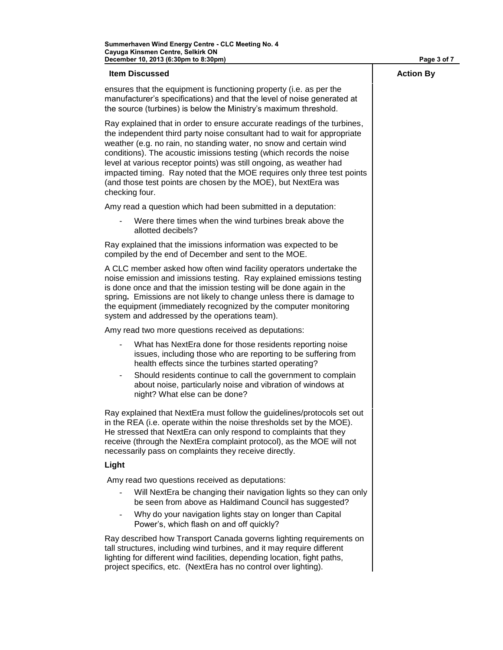| December 10, 2013 (6:30pm to 8:30pm)                                                                                                                                                                                                                                                                                                                                                                                                                                                                                                     | Page 3 of 7      |
|------------------------------------------------------------------------------------------------------------------------------------------------------------------------------------------------------------------------------------------------------------------------------------------------------------------------------------------------------------------------------------------------------------------------------------------------------------------------------------------------------------------------------------------|------------------|
| <b>Item Discussed</b>                                                                                                                                                                                                                                                                                                                                                                                                                                                                                                                    | <b>Action By</b> |
| ensures that the equipment is functioning property (i.e. as per the<br>manufacturer's specifications) and that the level of noise generated at<br>the source (turbines) is below the Ministry's maximum threshold.                                                                                                                                                                                                                                                                                                                       |                  |
| Ray explained that in order to ensure accurate readings of the turbines,<br>the independent third party noise consultant had to wait for appropriate<br>weather (e.g. no rain, no standing water, no snow and certain wind<br>conditions). The acoustic imissions testing (which records the noise<br>level at various receptor points) was still ongoing, as weather had<br>impacted timing. Ray noted that the MOE requires only three test points<br>(and those test points are chosen by the MOE), but NextEra was<br>checking four. |                  |
| Amy read a question which had been submitted in a deputation:                                                                                                                                                                                                                                                                                                                                                                                                                                                                            |                  |
| Were there times when the wind turbines break above the<br>allotted decibels?                                                                                                                                                                                                                                                                                                                                                                                                                                                            |                  |
| Ray explained that the imissions information was expected to be<br>compiled by the end of December and sent to the MOE.                                                                                                                                                                                                                                                                                                                                                                                                                  |                  |
| A CLC member asked how often wind facility operators undertake the<br>noise emission and imissions testing. Ray explained emissions testing<br>is done once and that the imission testing will be done again in the<br>spring. Emissions are not likely to change unless there is damage to<br>the equipment (immediately recognized by the computer monitoring<br>system and addressed by the operations team).                                                                                                                         |                  |
| Amy read two more questions received as deputations:                                                                                                                                                                                                                                                                                                                                                                                                                                                                                     |                  |
| What has NextEra done for those residents reporting noise<br>issues, including those who are reporting to be suffering from<br>health effects since the turbines started operating?                                                                                                                                                                                                                                                                                                                                                      |                  |
| Should residents continue to call the government to complain<br>۰<br>about noise, particularly noise and vibration of windows at<br>night? What else can be done?                                                                                                                                                                                                                                                                                                                                                                        |                  |
| Ray explained that NextEra must follow the guidelines/protocols set out<br>in the REA (i.e. operate within the noise thresholds set by the MOE).<br>He stressed that NextEra can only respond to complaints that they<br>receive (through the NextEra complaint protocol), as the MOE will not<br>necessarily pass on complaints they receive directly.                                                                                                                                                                                  |                  |
| Light                                                                                                                                                                                                                                                                                                                                                                                                                                                                                                                                    |                  |
| Amy read two questions received as deputations:                                                                                                                                                                                                                                                                                                                                                                                                                                                                                          |                  |
| Will NextEra be changing their navigation lights so they can only<br>be seen from above as Haldimand Council has suggested?                                                                                                                                                                                                                                                                                                                                                                                                              |                  |
| Why do your navigation lights stay on longer than Capital<br>$\frac{1}{2}$<br>Power's, which flash on and off quickly?                                                                                                                                                                                                                                                                                                                                                                                                                   |                  |
| Ray described how Transport Canada governs lighting requirements on<br>tall structures, including wind turbines, and it may require different<br>lighting for different wind facilities, depending location, fight paths,<br>project specifics, etc. (NextEra has no control over lighting).                                                                                                                                                                                                                                             |                  |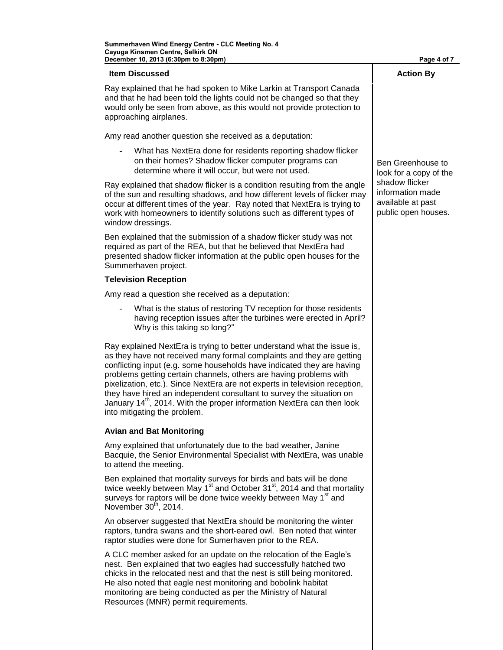#### **Item Discussed Action By**

Ray explained that he had spoken to Mike Larkin at Transport Canada and that he had been told the lights could not be changed so that they would only be seen from above, as this would not provide protection to approaching airplanes.

Amy read another question she received as a deputation:

What has NextEra done for residents reporting shadow flicker on their homes? Shadow flicker computer programs can determine where it will occur, but were not used.

Ray explained that shadow flicker is a condition resulting from the angle of the sun and resulting shadows, and how different levels of flicker may occur at different times of the year. Ray noted that NextEra is trying to work with homeowners to identify solutions such as different types of window dressings.

Ben explained that the submission of a shadow flicker study was not required as part of the REA, but that he believed that NextEra had presented shadow flicker information at the public open houses for the Summerhaven project.

#### **Television Reception**

Amy read a question she received as a deputation:

What is the status of restoring TV reception for those residents having reception issues after the turbines were erected in April? Why is this taking so long?"

Ray explained NextEra is trying to better understand what the issue is, as they have not received many formal complaints and they are getting conflicting input (e.g. some households have indicated they are having problems getting certain channels, others are having problems with pixelization, etc.). Since NextEra are not experts in television reception, they have hired an independent consultant to survey the situation on January 14<sup>th</sup>, 2014. With the proper information NextEra can then look into mitigating the problem.

#### **Avian and Bat Monitoring**

Amy explained that unfortunately due to the bad weather, Janine Bacquie, the Senior Environmental Specialist with NextEra, was unable to attend the meeting.

Ben explained that mortality surveys for birds and bats will be done twice weekly between May  $1<sup>st</sup>$  and October 31 $<sup>st</sup>$ , 2014 and that mortality</sup> surveys for raptors will be done twice weekly between May 1<sup>st</sup> and November  $30<sup>th</sup>$ , 2014.

An observer suggested that NextEra should be monitoring the winter raptors, tundra swans and the short-eared owl. Ben noted that winter raptor studies were done for Sumerhaven prior to the REA.

A CLC member asked for an update on the relocation of the Eagle's nest. Ben explained that two eagles had successfully hatched two chicks in the relocated nest and that the nest is still being monitored. He also noted that eagle nest monitoring and bobolink habitat monitoring are being conducted as per the Ministry of Natural Resources (MNR) permit requirements.

Ben Greenhouse to look for a copy of the shadow flicker information made available at past public open houses.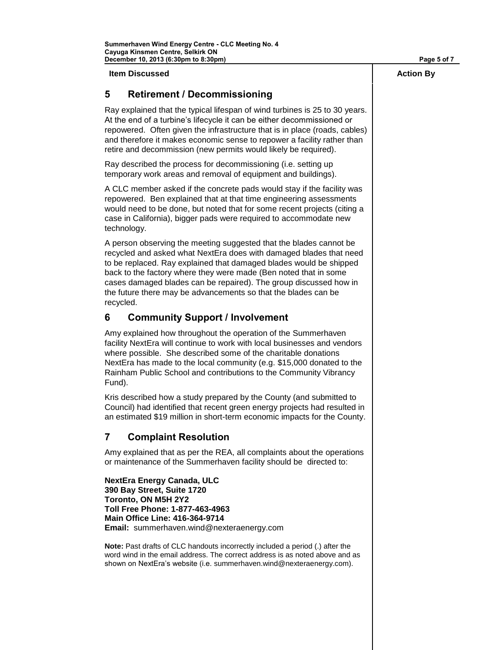**Item Discussed Action By**

### **5 Retirement / Decommissioning**

Ray explained that the typical lifespan of wind turbines is 25 to 30 years. At the end of a turbine's lifecycle it can be either decommissioned or repowered. Often given the infrastructure that is in place (roads, cables) and therefore it makes economic sense to repower a facility rather than retire and decommission (new permits would likely be required).

Ray described the process for decommissioning (i.e. setting up temporary work areas and removal of equipment and buildings).

A CLC member asked if the concrete pads would stay if the facility was repowered. Ben explained that at that time engineering assessments would need to be done, but noted that for some recent projects (citing a case in California), bigger pads were required to accommodate new technology.

A person observing the meeting suggested that the blades cannot be recycled and asked what NextEra does with damaged blades that need to be replaced. Ray explained that damaged blades would be shipped back to the factory where they were made (Ben noted that in some cases damaged blades can be repaired). The group discussed how in the future there may be advancements so that the blades can be recycled.

### **6 Community Support / Involvement**

Amy explained how throughout the operation of the Summerhaven facility NextEra will continue to work with local businesses and vendors where possible. She described some of the charitable donations NextEra has made to the local community (e.g. \$15,000 donated to the Rainham Public School and contributions to the Community Vibrancy Fund).

Kris described how a study prepared by the County (and submitted to Council) had identified that recent green energy projects had resulted in an estimated \$19 million in short-term economic impacts for the County.

### **7 Complaint Resolution**

Amy explained that as per the REA, all complaints about the operations or maintenance of the Summerhaven facility should be directed to:

**NextEra Energy Canada, ULC 390 Bay Street, Suite 1720 Toronto, ON M5H 2Y2 Toll Free Phone: 1-877-463-4963 Main Office Line: 416-364-9714 Email:** summerhaven.wind@nexteraenergy.com

**Note:** Past drafts of CLC handouts incorrectly included a period (.) after the word wind in the email address. The correct address is as noted above and as shown on NextEra's website (i.e. summerhaven.wind@nexteraenergy.com).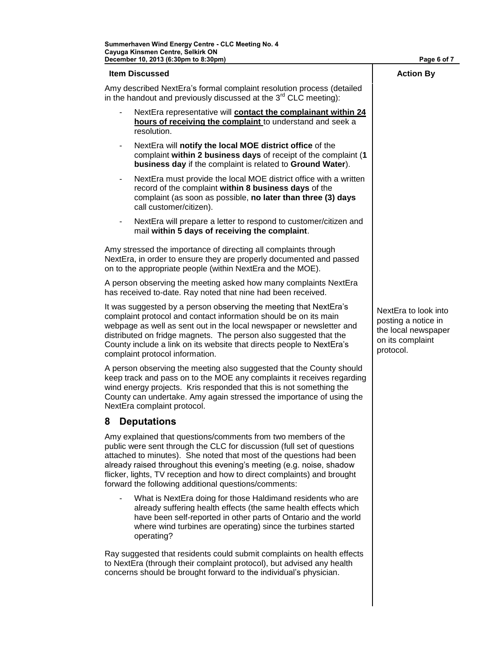| December 10, 2013 (6:30pm to 8:30pm)                                                                                                                                                                                                                                                                                                                                                                                      | Page 6 of 7                                                                                         |
|---------------------------------------------------------------------------------------------------------------------------------------------------------------------------------------------------------------------------------------------------------------------------------------------------------------------------------------------------------------------------------------------------------------------------|-----------------------------------------------------------------------------------------------------|
| <b>Item Discussed</b>                                                                                                                                                                                                                                                                                                                                                                                                     | <b>Action By</b>                                                                                    |
| Amy described NextEra's formal complaint resolution process (detailed<br>in the handout and previously discussed at the $3rd$ CLC meeting):                                                                                                                                                                                                                                                                               |                                                                                                     |
| NextEra representative will contact the complainant within 24<br>hours of receiving the complaint to understand and seek a<br>resolution.                                                                                                                                                                                                                                                                                 |                                                                                                     |
| NextEra will notify the local MOE district office of the<br>$\blacksquare$<br>complaint within 2 business days of receipt of the complaint (1<br>business day if the complaint is related to Ground Water).                                                                                                                                                                                                               |                                                                                                     |
| NextEra must provide the local MOE district office with a written<br>$\qquad \qquad \blacksquare$<br>record of the complaint within 8 business days of the<br>complaint (as soon as possible, no later than three (3) days<br>call customer/citizen).                                                                                                                                                                     |                                                                                                     |
| NextEra will prepare a letter to respond to customer/citizen and<br>mail within 5 days of receiving the complaint.                                                                                                                                                                                                                                                                                                        |                                                                                                     |
| Amy stressed the importance of directing all complaints through<br>NextEra, in order to ensure they are properly documented and passed<br>on to the appropriate people (within NextEra and the MOE).                                                                                                                                                                                                                      |                                                                                                     |
| A person observing the meeting asked how many complaints NextEra<br>has received to-date. Ray noted that nine had been received.                                                                                                                                                                                                                                                                                          |                                                                                                     |
| It was suggested by a person observing the meeting that NextEra's<br>complaint protocol and contact information should be on its main<br>webpage as well as sent out in the local newspaper or newsletter and<br>distributed on fridge magnets. The person also suggested that the<br>County include a link on its website that directs people to NextEra's<br>complaint protocol information.                            | NextEra to look into<br>posting a notice in<br>the local newspaper<br>on its complaint<br>protocol. |
| A person observing the meeting also suggested that the County should<br>keep track and pass on to the MOE any complaints it receives regarding<br>wind energy projects. Kris responded that this is not something the<br>County can undertake. Amy again stressed the importance of using the<br>NextEra complaint protocol.                                                                                              |                                                                                                     |
| 8 Deputations                                                                                                                                                                                                                                                                                                                                                                                                             |                                                                                                     |
| Amy explained that questions/comments from two members of the<br>public were sent through the CLC for discussion (full set of questions<br>attached to minutes). She noted that most of the questions had been<br>already raised throughout this evening's meeting (e.g. noise, shadow<br>flicker, lights, TV reception and how to direct complaints) and brought<br>forward the following additional questions/comments: |                                                                                                     |
| What is NextEra doing for those Haldimand residents who are                                                                                                                                                                                                                                                                                                                                                               |                                                                                                     |

already suffering health effects (the same health effects which have been self-reported in other parts of Ontario and the world where wind turbines are operating) since the turbines started operating?

Ray suggested that residents could submit complaints on health effects to NextEra (through their complaint protocol), but advised any health concerns should be brought forward to the individual's physician.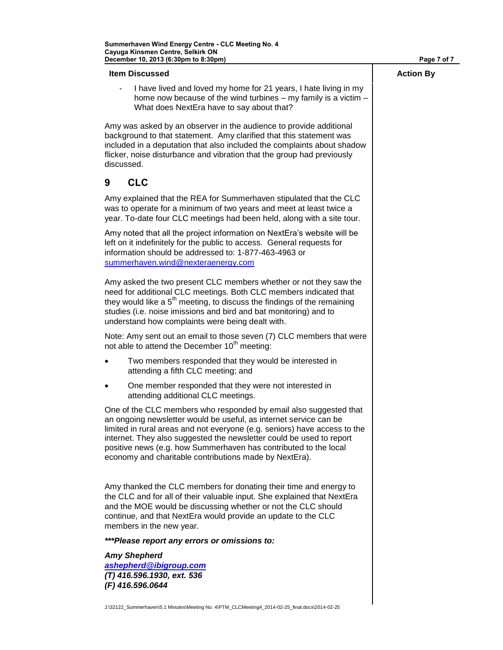| Page 7 of 7      |
|------------------|
| <b>Action By</b> |
|                  |
|                  |
|                  |
|                  |
|                  |
|                  |
|                  |
|                  |
|                  |
|                  |
|                  |
|                  |
|                  |

J:\32122\_Summerhaven\5.1 Minutes\Meeting No. 4\PTM\_CLCMeeting4\_2014-02-25\_final.docx\2014-02-25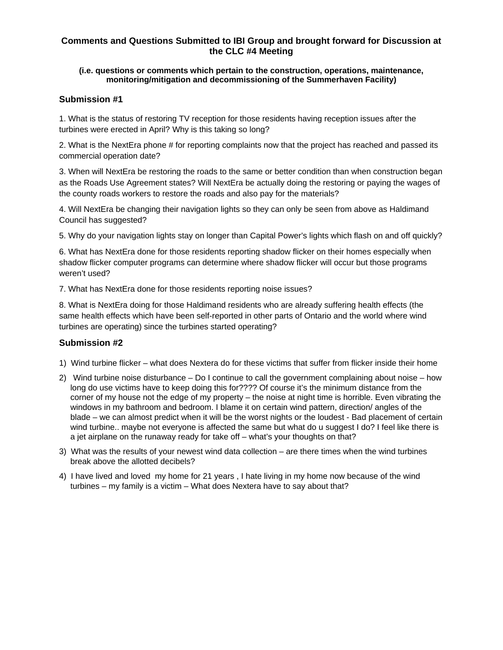#### **Comments and Questions Submitted to IBI Group and brought forward for Discussion at the CLC #4 Meeting**

#### **(i.e. questions or comments which pertain to the construction, operations, maintenance, monitoring/mitigation and decommissioning of the Summerhaven Facility)**

#### **Submission #1**

1. What is the status of restoring TV reception for those residents having reception issues after the turbines were erected in April? Why is this taking so long?

2. What is the NextEra phone # for reporting complaints now that the project has reached and passed its commercial operation date?

3. When will NextEra be restoring the roads to the same or better condition than when construction began as the Roads Use Agreement states? Will NextEra be actually doing the restoring or paying the wages of the county roads workers to restore the roads and also pay for the materials?

4. Will NextEra be changing their navigation lights so they can only be seen from above as Haldimand Council has suggested?

5. Why do your navigation lights stay on longer than Capital Power's lights which flash on and off quickly?

6. What has NextEra done for those residents reporting shadow flicker on their homes especially when shadow flicker computer programs can determine where shadow flicker will occur but those programs weren't used?

7. What has NextEra done for those residents reporting noise issues?

8. What is NextEra doing for those Haldimand residents who are already suffering health effects (the same health effects which have been self-reported in other parts of Ontario and the world where wind turbines are operating) since the turbines started operating?

### **Submission #2**

- 1) Wind turbine flicker what does Nextera do for these victims that suffer from flicker inside their home
- 2) Wind turbine noise disturbance Do I continue to call the government complaining about noise how long do use victims have to keep doing this for???? Of course it's the minimum distance from the corner of my house not the edge of my property – the noise at night time is horrible. Even vibrating the windows in my bathroom and bedroom. I blame it on certain wind pattern, direction/ angles of the blade – we can almost predict when it will be the worst nights or the loudest - Bad placement of certain wind turbine.. maybe not everyone is affected the same but what do u suggest I do? I feel like there is a jet airplane on the runaway ready for take off – what's your thoughts on that?
- 3) What was the results of your newest wind data collection are there times when the wind turbines break above the allotted decibels?
- 4) I have lived and loved my home for 21 years , I hate living in my home now because of the wind turbines – my family is a victim – What does Nextera have to say about that?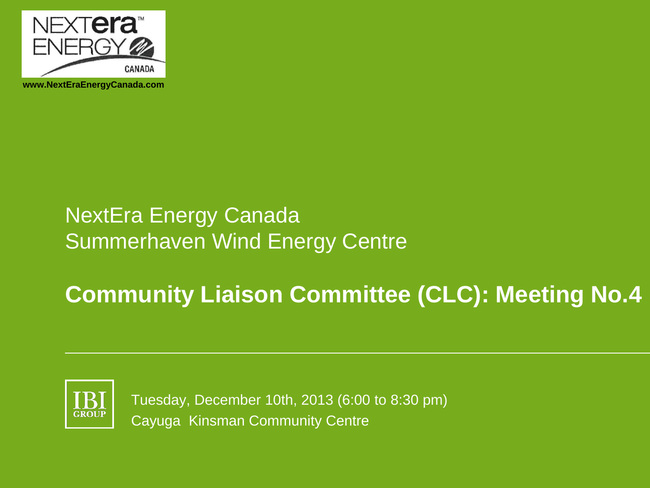

**www.NextEraEnergyCanada.com**

## NextEra Energy Canada Summerhaven Wind Energy Centre

# **Community Liaison Committee (CLC): Meeting No.4**



Tuesday, December 10th, 2013 (6:00 to 8:30 pm) Cayuga Kinsman Community Centre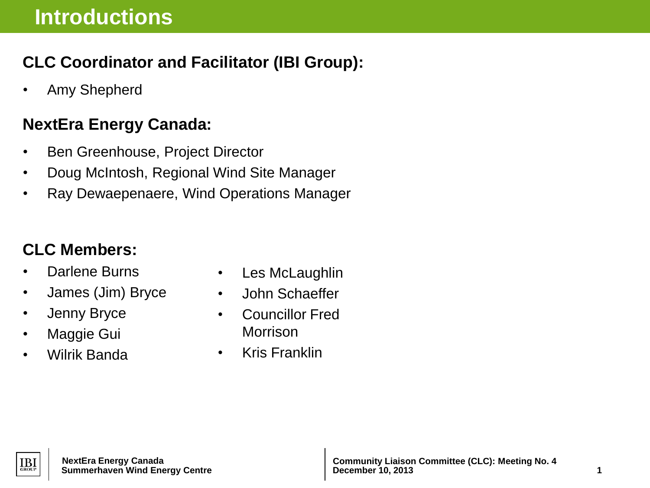## **CLC Coordinator and Facilitator (IBI Group):**

• Amy Shepherd

## **NextEra Energy Canada:**

- Ben Greenhouse, Project Director
- Doug McIntosh, Regional Wind Site Manager
- Ray Dewaepenaere, Wind Operations Manager

## **CLC Members:**

- Darlene Burns
- James (Jim) Bryce
- Jenny Bryce
- Maggie Gui
- Wilrik Banda
- Les McLaughlin
- John Schaeffer
- Councillor Fred Morrison
- Kris Franklin

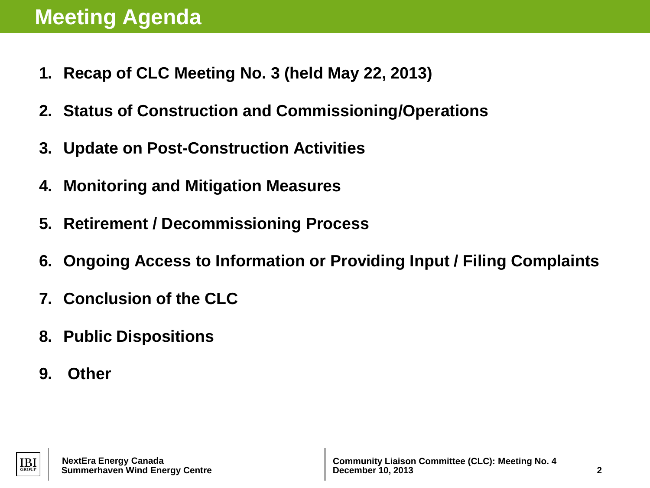- **1. Recap of CLC Meeting No. 3 (held May 22, 2013)**
- **2. Status of Construction and Commissioning/Operations**
- **3. Update on Post-Construction Activities**
- **4. Monitoring and Mitigation Measures**
- **5. Retirement / Decommissioning Process**
- **6. Ongoing Access to Information or Providing Input / Filing Complaints**
- **7. Conclusion of the CLC**
- **8. Public Dispositions**
- **9. Other**



 **Summerhaven Wind Energy Centre**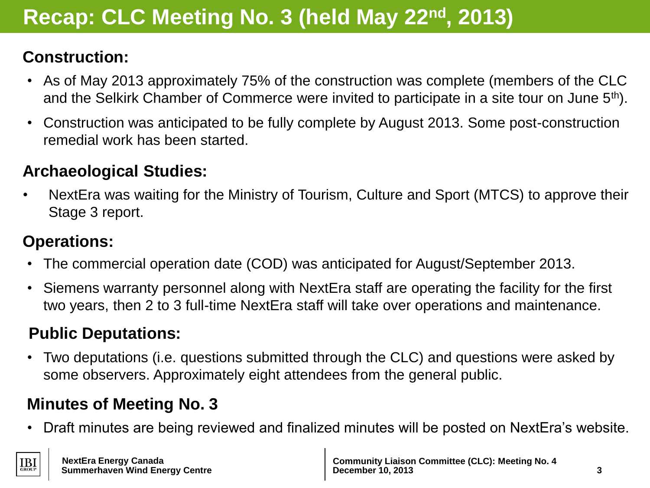# **Recap: CLC Meeting No. 3 (held May 22nd, 2013)**

## **Construction:**

- As of May 2013 approximately 75% of the construction was complete (members of the CLC and the Selkirk Chamber of Commerce were invited to participate in a site tour on June 5<sup>th</sup>).
- Construction was anticipated to be fully complete by August 2013. Some post-construction remedial work has been started.

## **Archaeological Studies:**

• NextEra was waiting for the Ministry of Tourism, Culture and Sport (MTCS) to approve their Stage 3 report.

## **Operations:**

- The commercial operation date (COD) was anticipated for August/September 2013.
- Siemens warranty personnel along with NextEra staff are operating the facility for the first two years, then 2 to 3 full-time NextEra staff will take over operations and maintenance.

## **Public Deputations:**

• Two deputations (i.e. questions submitted through the CLC) and questions were asked by some observers. Approximately eight attendees from the general public.

## **Minutes of Meeting No. 3**

• Draft minutes are being reviewed and finalized minutes will be posted on NextEra's website.

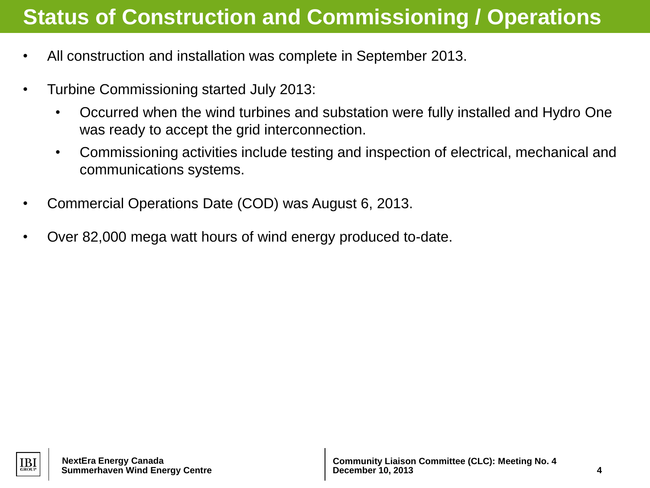## **Status of Construction and Commissioning / Operations**

- All construction and installation was complete in September 2013.
- Turbine Commissioning started July 2013:
	- Occurred when the wind turbines and substation were fully installed and Hydro One was ready to accept the grid interconnection.
	- Commissioning activities include testing and inspection of electrical, mechanical and communications systems.
- Commercial Operations Date (COD) was August 6, 2013.
- Over 82,000 mega watt hours of wind energy produced to-date.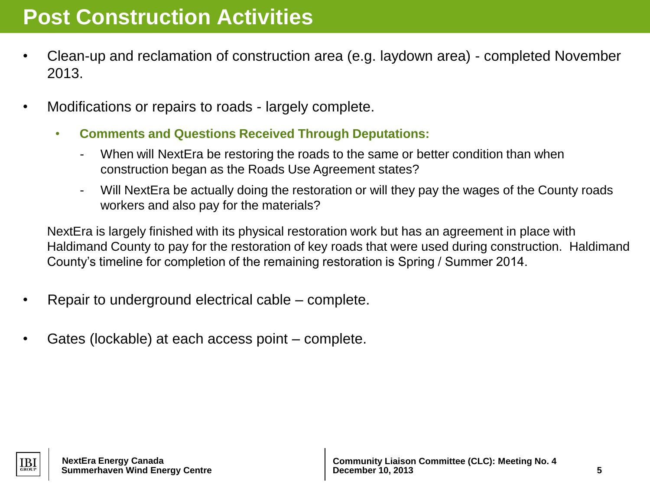## **Post Construction Activities**

- Clean-up and reclamation of construction area (e.g. laydown area) completed November 2013.
- Modifications or repairs to roads largely complete.
	- **Comments and Questions Received Through Deputations:** 
		- When will NextEra be restoring the roads to the same or better condition than when construction began as the Roads Use Agreement states?
		- Will NextEra be actually doing the restoration or will they pay the wages of the County roads workers and also pay for the materials?

NextEra is largely finished with its physical restoration work but has an agreement in place with Haldimand County to pay for the restoration of key roads that were used during construction. Haldimand County's timeline for completion of the remaining restoration is Spring / Summer 2014.

- Repair to underground electrical cable complete.
- Gates (lockable) at each access point complete.



**Summerhaven Wind Energy Centre**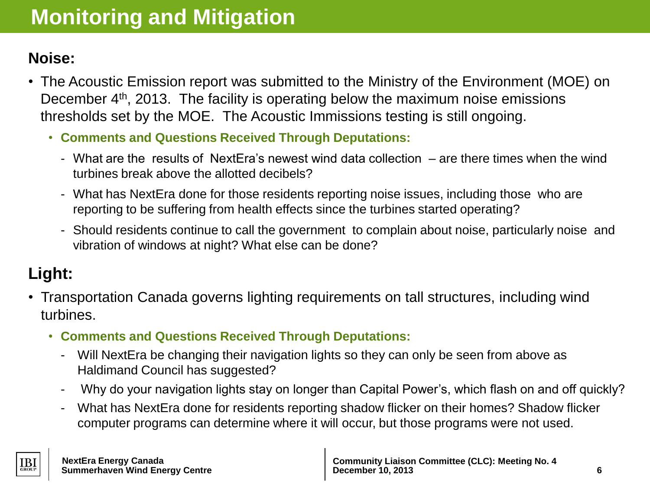## **Noise:**

- The Acoustic Emission report was submitted to the Ministry of the Environment (MOE) on December 4<sup>th</sup>, 2013. The facility is operating below the maximum noise emissions thresholds set by the MOE. The Acoustic Immissions testing is still ongoing.
	- **Comments and Questions Received Through Deputations:** 
		- What are the results of NextEra's newest wind data collection are there times when the wind turbines break above the allotted decibels?
		- What has NextEra done for those residents reporting noise issues, including those who are reporting to be suffering from health effects since the turbines started operating?
		- Should residents continue to call the government to complain about noise, particularly noise and vibration of windows at night? What else can be done?

## **Light:**

- Transportation Canada governs lighting requirements on tall structures, including wind turbines.
	- **Comments and Questions Received Through Deputations:** 
		- Will NextEra be changing their navigation lights so they can only be seen from above as Haldimand Council has suggested?
		- Why do your navigation lights stay on longer than Capital Power's, which flash on and off quickly?
		- What has NextEra done for residents reporting shadow flicker on their homes? Shadow flicker computer programs can determine where it will occur, but those programs were not used.

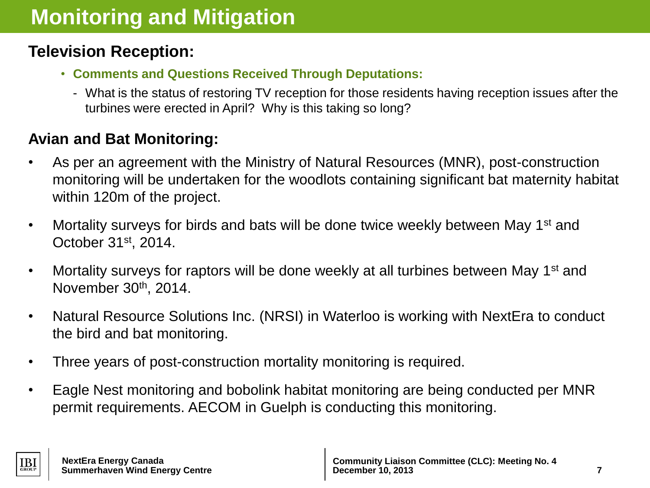### **Television Reception:**

- **Comments and Questions Received Through Deputations:** 
	- What is the status of restoring TV reception for those residents having reception issues after the turbines were erected in April? Why is this taking so long?

### **Avian and Bat Monitoring:**

- As per an agreement with the Ministry of Natural Resources (MNR), post-construction monitoring will be undertaken for the woodlots containing significant bat maternity habitat within 120m of the project.
- Mortality surveys for birds and bats will be done twice weekly between May 1<sup>st</sup> and October 31st, 2014.
- Mortality surveys for raptors will be done weekly at all turbines between May 1<sup>st</sup> and November 30th, 2014.
- Natural Resource Solutions Inc. (NRSI) in Waterloo is working with NextEra to conduct the bird and bat monitoring.
- Three years of post-construction mortality monitoring is required.
- Eagle Nest monitoring and bobolink habitat monitoring are being conducted per MNR permit requirements. AECOM in Guelph is conducting this monitoring.

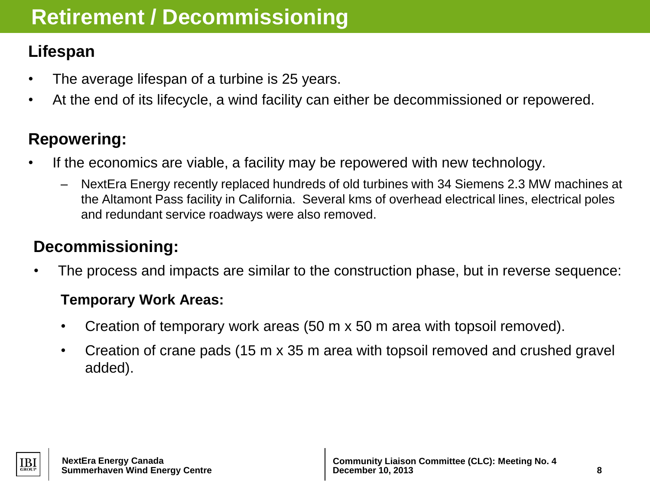## **Retirement / Decommissioning**

## **Lifespan**

- The average lifespan of a turbine is 25 years.
- At the end of its lifecycle, a wind facility can either be decommissioned or repowered.

## **Repowering:**

- If the economics are viable, a facility may be repowered with new technology.
	- NextEra Energy recently replaced hundreds of old turbines with 34 Siemens 2.3 MW machines at the Altamont Pass facility in California. Several kms of overhead electrical lines, electrical poles and redundant service roadways were also removed.

## **Decommissioning:**

The process and impacts are similar to the construction phase, but in reverse sequence:

### **Temporary Work Areas:**

- Creation of temporary work areas (50 m x 50 m area with topsoil removed).
- Creation of crane pads (15 m x 35 m area with topsoil removed and crushed gravel added).

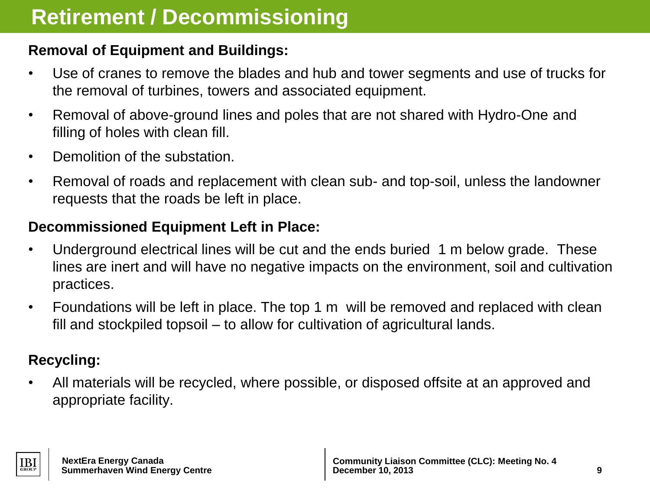### **Removal of Equipment and Buildings:**

- Use of cranes to remove the blades and hub and tower segments and use of trucks for the removal of turbines, towers and associated equipment.
- Removal of above-ground lines and poles that are not shared with Hydro-One and filling of holes with clean fill.
- Demolition of the substation.
- Removal of roads and replacement with clean sub- and top-soil, unless the landowner requests that the roads be left in place.

### **Decommissioned Equipment Left in Place:**

- Underground electrical lines will be cut and the ends buried 1 m below grade. These lines are inert and will have no negative impacts on the environment, soil and cultivation practices.
- Foundations will be left in place. The top 1 m will be removed and replaced with clean fill and stockpiled topsoil – to allow for cultivation of agricultural lands.

### **Recycling:**

• All materials will be recycled, where possible, or disposed offsite at an approved and appropriate facility.

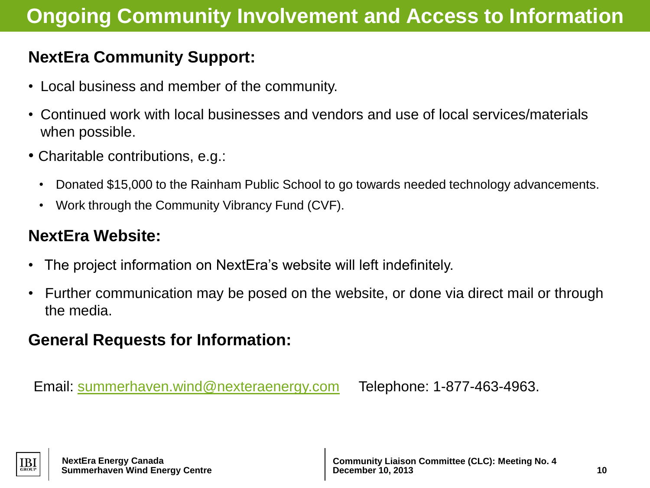## **Ongoing Community Involvement and Access to Information**

## **NextEra Community Support:**

- Local business and member of the community.
- Continued work with local businesses and vendors and use of local services/materials when possible.
- Charitable contributions, e.g.:
	- Donated \$15,000 to the Rainham Public School to go towards needed technology advancements.
	- Work through the Community Vibrancy Fund (CVF).

### **NextEra Website:**

- The project information on NextEra's website will left indefinitely.
- Further communication may be posed on the website, or done via direct mail or through the media.

## **General Requests for Information:**

Email: [summerhaven.wind@nexteraenergy.com](mailto:summerhaven.wind@nexteraenergy.com) Telephone: 1-877-463-4963.

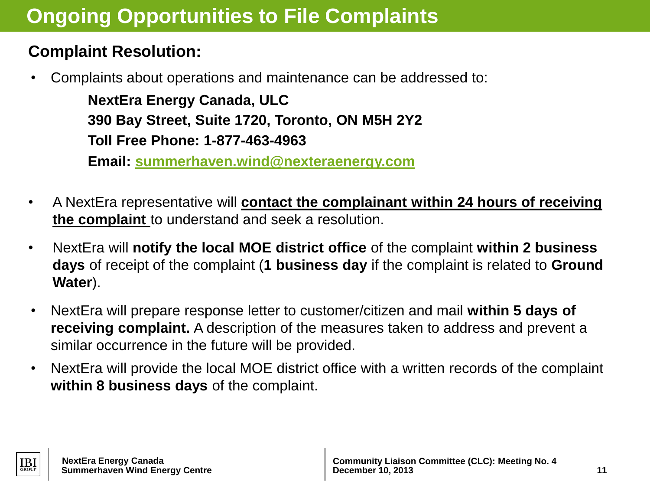## **Ongoing Opportunities to File Complaints**

## **Complaint Resolution:**

• Complaints about operations and maintenance can be addressed to:

**NextEra Energy Canada, ULC 390 Bay Street, Suite 1720, Toronto, ON M5H 2Y2 Toll Free Phone: 1-877-463-4963**

**Email: summerhaven[.wind@nexteraenergy.com](mailto:conestogo.wind.@nexteraenergy.com)**

- A NextEra representative will **contact the complainant within 24 hours of receiving the complaint** to understand and seek a resolution.
- NextEra will **notify the local MOE district office** of the complaint **within 2 business days** of receipt of the complaint (**1 business day** if the complaint is related to **Ground Water**).
- NextEra will prepare response letter to customer/citizen and mail **within 5 days of receiving complaint.** A description of the measures taken to address and prevent a similar occurrence in the future will be provided.
- NextEra will provide the local MOE district office with a written records of the complaint **within 8 business days** of the complaint.

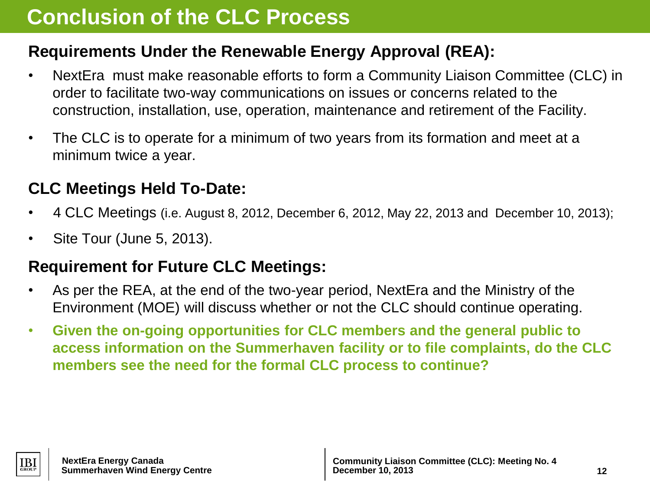## **Conclusion of the CLC Process**

## **Requirements Under the Renewable Energy Approval (REA):**

- NextEra must make reasonable efforts to form a Community Liaison Committee (CLC) in order to facilitate two-way communications on issues or concerns related to the construction, installation, use, operation, maintenance and retirement of the Facility.
- The CLC is to operate for a minimum of two years from its formation and meet at a minimum twice a year.

## **CLC Meetings Held To-Date:**

- 4 CLC Meetings (i.e. August 8, 2012, December 6, 2012, May 22, 2013 and December 10, 2013);
- Site Tour (June 5, 2013).

## **Requirement for Future CLC Meetings:**

- As per the REA, at the end of the two-year period, NextEra and the Ministry of the Environment (MOE) will discuss whether or not the CLC should continue operating.
- **Given the on-going opportunities for CLC members and the general public to access information on the Summerhaven facility or to file complaints, do the CLC members see the need for the formal CLC process to continue?**